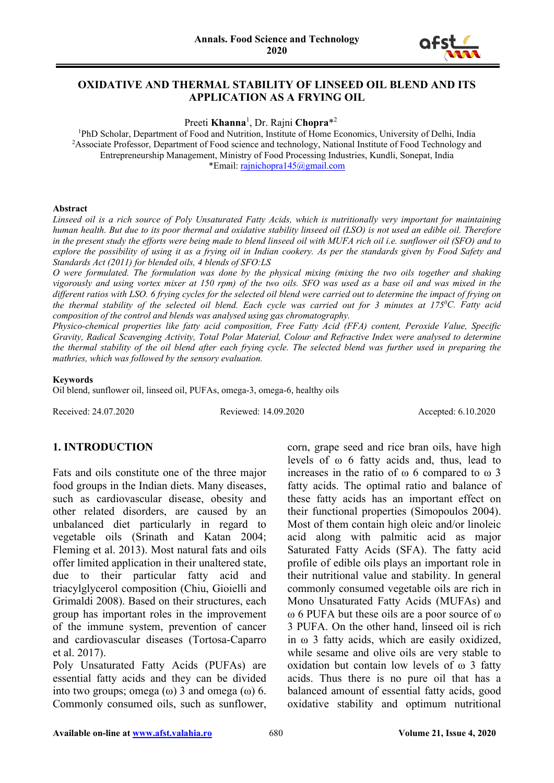

### **OXIDATIVE AND THERMAL STABILITY OF LINSEED OIL BLEND AND ITS APPLICATION AS A FRYING OIL**

Preeti **Khanna**<sup>1</sup> , Dr. Rajni **Chopra**\*<sup>2</sup>

<sup>1</sup>PhD Scholar, Department of Food and Nutrition, Institute of Home Economics, University of Delhi, India <sup>2</sup> Associate Professor, Department of Food science and technology, National Institute of Food Technology and Entrepreneurship Management, Ministry of Food Processing Industries, Kundli, Sonepat, India \*Email: [rajnichopra145@gmail.com](mailto:rajnichopra145@gmail.com)

#### **Abstract**

*Linseed oil is a rich source of Poly Unsaturated Fatty Acids, which is nutritionally very important for maintaining human health. But due to its poor thermal and oxidative stability linseed oil (LSO) is not used an edible oil. Therefore in the present study the efforts were being made to blend linseed oil with MUFA rich oil i.e. sunflower oil (SFO) and to explore the possibility of using it as a frying oil in Indian cookery. As per the standards given by Food Safety and Standards Act (2011) for blended oils, 4 blends of SFO:LS*

*O were formulated. The formulation was done by the physical mixing (mixing the two oils together and shaking vigorously and using vortex mixer at 150 rpm) of the two oils. SFO was used as a base oil and was mixed in the different ratios with LSO. 6 frying cycles for the selected oil blend were carried out to determine the impact of frying on the thermal stability of the selected oil blend. Each cycle was carried out for 3 minutes at 1750 C. Fatty acid composition of the control and blends was analysed using gas chromatography.* 

*Physico-chemical properties like fatty acid composition, Free Fatty Acid (FFA) content, Peroxide Value, Specific Gravity, Radical Scavenging Activity, Total Polar Material, Colour and Refractive Index were analysed to determine the thermal stability of the oil blend after each frying cycle. The selected blend was further used in preparing the mathries, which was followed by the sensory evaluation.*

#### **Keywords**

Oil blend, sunflower oil, linseed oil, PUFAs, omega-3, omega-6, healthy oils

Received: 24.07.2020 Reviewed: 14.09.2020 Accepted: 6.10.2020

### **1. INTRODUCTION**

Fats and oils constitute one of the three major food groups in the Indian diets. Many diseases, such as cardiovascular disease, obesity and other related disorders, are caused by an unbalanced diet particularly in regard to vegetable oils (Srinath and Katan 2004; Fleming et al. 2013). Most natural fats and oils offer limited application in their unaltered state, due to their particular fatty acid and triacylglycerol composition (Chiu, Gioielli and Grimaldi 2008). Based on their structures, each group has important roles in the improvement of the immune system, prevention of cancer and cardiovascular diseases (Tortosa-Caparro et al. 2017).

Poly Unsaturated Fatty Acids (PUFAs) are essential fatty acids and they can be divided into two groups; omega  $(\omega)$  3 and omega  $(\omega)$  6. Commonly consumed oils, such as sunflower, corn, grape seed and rice bran oils, have high levels of ω 6 fatty acids and, thus, lead to increases in the ratio of ω 6 compared to ω 3 fatty acids. The optimal ratio and balance of these fatty acids has an important effect on their functional properties (Simopoulos 2004). Most of them contain high oleic and/or linoleic acid along with palmitic acid as major Saturated Fatty Acids (SFA). The fatty acid profile of edible oils plays an important role in their nutritional value and stability. In general commonly consumed vegetable oils are rich in Mono Unsaturated Fatty Acids (MUFAs) and ω 6 PUFA but these oils are a poor source of ω 3 PUFA. On the other hand, linseed oil is rich in ω 3 fatty acids, which are easily oxidized, while sesame and olive oils are very stable to oxidation but contain low levels of ω 3 fatty acids. Thus there is no pure oil that has a balanced amount of essential fatty acids, good oxidative stability and optimum nutritional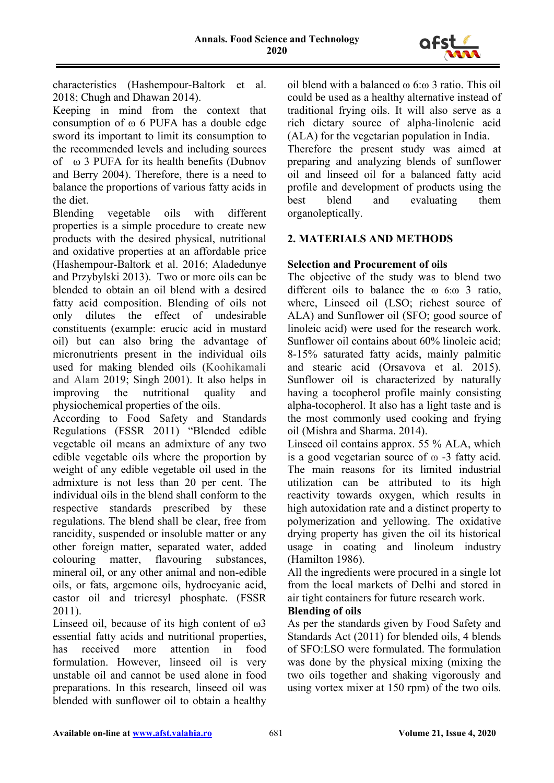

characteristics (Hashempour-Baltork et al. 2018; Chugh and Dhawan 2014).

Keeping in mind from the context that consumption of ω 6 PUFA has a double edge sword its important to limit its consumption to the recommended levels and including sources of ω 3 PUFA for its health benefits (Dubnov and Berry 2004). Therefore, there is a need to balance the proportions of various fatty acids in the diet.

Blending vegetable oils with different properties is a simple procedure to create new products with the desired physical, nutritional and oxidative properties at an affordable price (Hashempour-Baltork et al. 2016; Aladedunye and Przybylski 2013). Two or more oils can be blended to obtain an oil blend with a desired fatty acid composition. Blending of oils not only dilutes the effect of undesirable constituents (example: erucic acid in mustard oil) but can also bring the advantage of micronutrients present in the individual oils used for making blended oils (Koohikamali and Alam 2019; Singh 2001). It also helps in improving the nutritional quality and physiochemical properties of the oils.

According to Food Safety and Standards Regulations (FSSR 2011) "Blended edible vegetable oil means an admixture of any two edible vegetable oils where the proportion by weight of any edible vegetable oil used in the admixture is not less than 20 per cent. The individual oils in the blend shall conform to the respective standards prescribed by these regulations. The blend shall be clear, free from rancidity, suspended or insoluble matter or any other foreign matter, separated water, added colouring matter, flavouring substances, mineral oil, or any other animal and non-edible oils, or fats, argemone oils, hydrocyanic acid, castor oil and tricresyl phosphate. (FSSR 2011).

Linseed oil, because of its high content of ω3 essential fatty acids and nutritional properties, has received more attention in food formulation. However, linseed oil is very unstable oil and cannot be used alone in food preparations. In this research, linseed oil was blended with sunflower oil to obtain a healthy

oil blend with a balanced ω 6:ω 3 ratio. This oil could be used as a healthy alternative instead of traditional frying oils. It will also serve as a rich dietary source of alpha-linolenic acid (ALA) for the vegetarian population in India.

Therefore the present study was aimed at preparing and analyzing blends of sunflower oil and linseed oil for a balanced fatty acid profile and development of products using the best blend and evaluating them organoleptically.

# **2. MATERIALS AND METHODS**

# **Selection and Procurement of oils**

The objective of the study was to blend two different oils to balance the ω 6:ω 3 ratio, where, Linseed oil (LSO; richest source of ALA) and Sunflower oil (SFO; good source of linoleic acid) were used for the research work. Sunflower oil contains about 60% linoleic acid; 8-15% saturated fatty acids, mainly palmitic and stearic acid (Orsavova et al. 2015). Sunflower oil is characterized by naturally having a tocopherol profile mainly consisting alpha-tocopherol. It also has a light taste and is the most commonly used cooking and frying oil (Mishra and Sharma. 2014).

Linseed oil contains approx. 55 % ALA, which is a good vegetarian source of ω -3 fatty acid. The main reasons for its limited industrial utilization can be attributed to its high reactivity towards oxygen, which results in high autoxidation rate and a distinct property to polymerization and yellowing. The oxidative drying property has given the oil its historical usage in coating and linoleum industry (Hamilton 1986).

All the ingredients were procured in a single lot from the local markets of Delhi and stored in air tight containers for future research work.

### **Blending of oils**

As per the standards given by Food Safety and Standards Act (2011) for blended oils, 4 blends of SFO:LSO were formulated. The formulation was done by the physical mixing (mixing the two oils together and shaking vigorously and using vortex mixer at 150 rpm) of the two oils.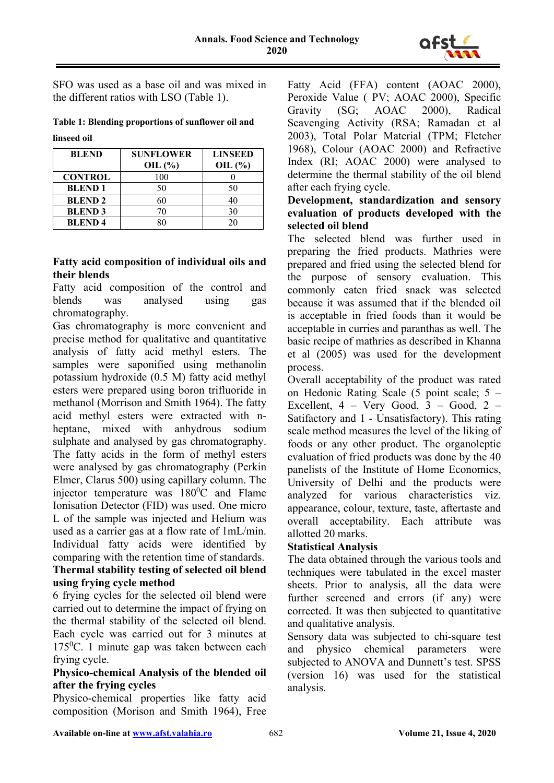

SFO was used as a base oil and was mixed in the different ratios with LSO (Table 1).

### **Table 1: Blending proportions of sunflower oil and linseed oil**

| <b>BLEND</b>   | <b>SUNFLOWER</b> | <b>LINSEED</b> |
|----------------|------------------|----------------|
|                | OIL $(\% )$      | OIL $(\% )$    |
| <b>CONTROL</b> | 100              |                |
| <b>BLEND1</b>  | 50               | 50             |
| <b>BLEND 2</b> | 60               | 40             |
| <b>BLEND 3</b> |                  | 30             |
| <b>BLEND4</b>  |                  |                |

### **Fatty acid composition of individual oils and their blends**

Fatty acid composition of the control and blends was analysed using gas chromatography.

Gas chromatography is more convenient and precise method for qualitative and quantitative analysis of fatty acid methyl esters. The samples were saponified using methanolin potassium hydroxide (0.5 M) fatty acid methyl esters were prepared using boron trifluoride in methanol (Morrison and Smith 1964). The fatty acid methyl esters were extracted with nheptane, mixed with anhydrous sodium sulphate and analysed by gas chromatography. The fatty acids in the form of methyl esters were analysed by gas chromatography (Perkin Elmer, Clarus 500) using capillary column. The injector temperature was  $180^{\circ}$ C and Flame Ionisation Detector (FID) was used. One micro L of the sample was injected and Helium was used as a carrier gas at a flow rate of 1mL/min. Individual fatty acids were identified by comparing with the retention time of standards. **Thermal stability testing of selected oil blend using frying cycle method**

6 frying cycles for the selected oil blend were carried out to determine the impact of frying on the thermal stability of the selected oil blend. Each cycle was carried out for 3 minutes at 175<sup>0</sup>C. 1 minute gap was taken between each frying cycle.

# **Physico-chemical Analysis of the blended oil after the frying cycles**

Physico-chemical properties like fatty acid composition (Morison and Smith 1964), Free

Fatty Acid (FFA) content (AOAC 2000), Peroxide Value ( PV; AOAC 2000), Specific Gravity (SG; AOAC 2000), Radical Scavenging Activity (RSA; Ramadan et al 2003), Total Polar Material (TPM; Fletcher 1968), Colour (AOAC 2000) and Refractive Index (RI; AOAC 2000) were analysed to determine the thermal stability of the oil blend after each frying cycle.

# **Development, standardization and sensory evaluation of products developed with the selected oil blend**

The selected blend was further used in preparing the fried products. Mathries were prepared and fried using the selected blend for the purpose of sensory evaluation. This commonly eaten fried snack was selected because it was assumed that if the blended oil is acceptable in fried foods than it would be acceptable in curries and paranthas as well. The basic recipe of mathries as described in Khanna et al (2005) was used for the development process.

Overall acceptability of the product was rated on Hedonic Rating Scale (5 point scale; 5 – Excellent,  $4 - \text{Very Good}, 3 - \text{Good}, 2 -$ Satifactory and 1 - Unsatisfactory). This rating scale method measures the level of the liking of foods or any other product. The organoleptic evaluation of fried products was done by the 40 panelists of the Institute of Home Economics, University of Delhi and the products were analyzed for various characteristics viz. appearance, colour, texture, taste, aftertaste and overall acceptability. Each attribute was allotted 20 marks.

# **Statistical Analysis**

The data obtained through the various tools and techniques were tabulated in the excel master sheets. Prior to analysis, all the data were further screened and errors (if any) were corrected. It was then subjected to quantitative and qualitative analysis.

Sensory data was subjected to chi-square test and physico chemical parameters were subjected to ANOVA and Dunnett's test. SPSS (version 16) was used for the statistical analysis.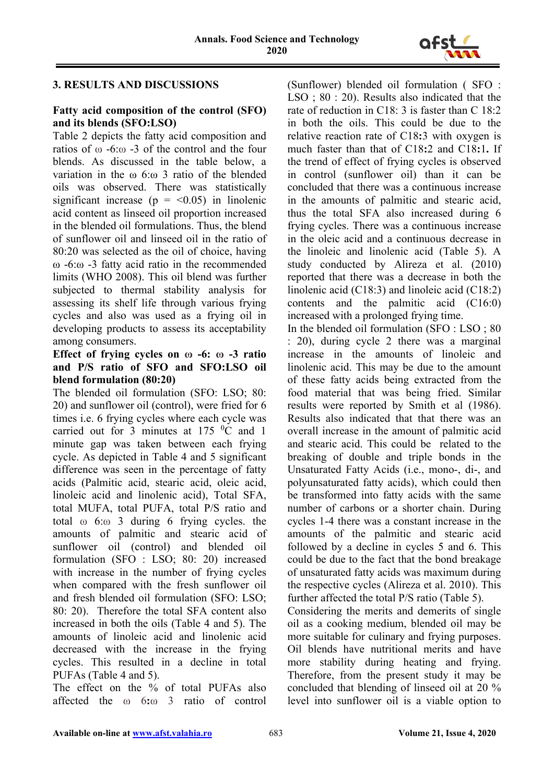

# **3. RESULTS AND DISCUSSIONS**

### **Fatty acid composition of the control (SFO) and its blends (SFO:LSO)**

Table 2 depicts the fatty acid composition and ratios of  $\omega$  -6: $\omega$  -3 of the control and the four blends. As discussed in the table below, a variation in the ω 6:ω 3 ratio of the blended oils was observed. There was statistically significant increase ( $p = \langle 0.05 \rangle$ ) in linolenic acid content as linseed oil proportion increased in the blended oil formulations. Thus, the blend of sunflower oil and linseed oil in the ratio of 80:20 was selected as the oil of choice, having ω -6:ω -3 fatty acid ratio in the recommended limits (WHO 2008). This oil blend was further subjected to thermal stability analysis for assessing its shelf life through various frying cycles and also was used as a frying oil in developing products to assess its acceptability among consumers.

### **Effect of frying cycles on ω -6: ω -3 ratio and P/S ratio of SFO and SFO:LSO oil blend formulation (80:20)**

The blended oil formulation (SFO: LSO; 80: 20) and sunflower oil (control), were fried for 6 times i.e. 6 frying cycles where each cycle was carried out for 3 minutes at  $175 \text{ °C}$  and 1 minute gap was taken between each frying cycle. As depicted in Table 4 and 5 significant difference was seen in the percentage of fatty acids (Palmitic acid, stearic acid, oleic acid, linoleic acid and linolenic acid), Total SFA, total MUFA, total PUFA, total P/S ratio and total ω 6:ω 3 during 6 frying cycles. the amounts of palmitic and stearic acid of sunflower oil (control) and blended oil formulation (SFO : LSO; 80: 20) increased with increase in the number of frying cycles when compared with the fresh sunflower oil and fresh blended oil formulation (SFO: LSO; 80: 20). Therefore the total SFA content also increased in both the oils (Table 4 and 5). The amounts of linoleic acid and linolenic acid decreased with the increase in the frying cycles. This resulted in a decline in total PUFAs (Table 4 and 5).

The effect on the % of total PUFAs also affected the ω 6**:**ω 3 ratio of control

(Sunflower) blended oil formulation ( SFO : LSO ; 80 : 20). Results also indicated that the rate of reduction in C18: 3 is faster than C 18:2 in both the oils. This could be due to the relative reaction rate of C18**:**3 with oxygen is much faster than that of C18**:**2 and C18**:**1**.** If the trend of effect of frying cycles is observed in control (sunflower oil) than it can be concluded that there was a continuous increase in the amounts of palmitic and stearic acid, thus the total SFA also increased during 6 frying cycles. There was a continuous increase in the oleic acid and a continuous decrease in the linoleic and linolenic acid (Table 5). A study conducted by Alireza et al. (2010) reported that there was a decrease in both the linolenic acid (C18:3) and linoleic acid (C18:2) contents and the palmitic acid (C16:0) increased with a prolonged frying time.

In the blended oil formulation (SFO : LSO ; 80 : 20), during cycle 2 there was a marginal increase in the amounts of linoleic and linolenic acid. This may be due to the amount of these fatty acids being extracted from the food material that was being fried. Similar results were reported by Smith et al (1986). Results also indicated that that there was an overall increase in the amount of palmitic acid and stearic acid. This could be related to the breaking of double and triple bonds in the Unsaturated Fatty Acids (i.e., mono-, di-, and polyunsaturated fatty acids), which could then be transformed into fatty acids with the same number of carbons or a shorter chain. During cycles 1-4 there was a constant increase in the amounts of the palmitic and stearic acid followed by a decline in cycles 5 and 6. This could be due to the fact that the bond breakage of unsaturated fatty acids was maximum during the respective cycles (Alireza et al. 2010). This further affected the total P/S ratio (Table 5).

Considering the merits and demerits of single oil as a cooking medium, blended oil may be more suitable for culinary and frying purposes. Oil blends have nutritional merits and have more stability during heating and frying. Therefore, from the present study it may be concluded that blending of linseed oil at 20 % level into sunflower oil is a viable option to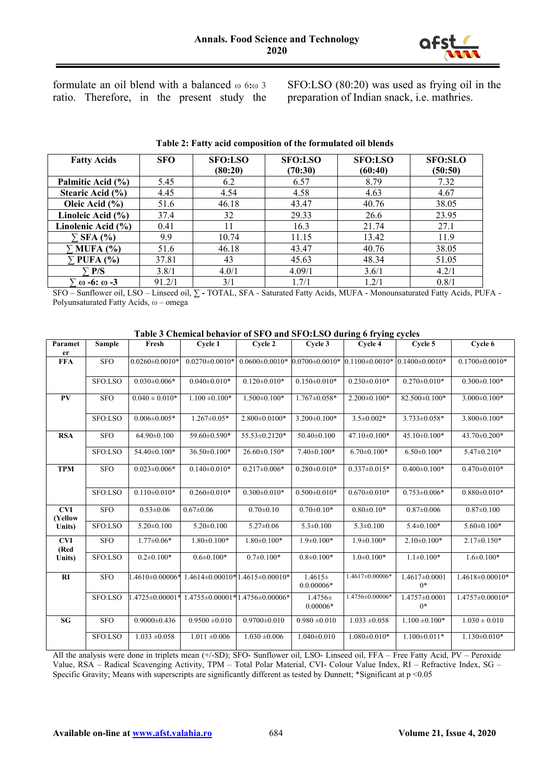

formulate an oil blend with a balanced ω 6**:**ω 3 ratio. Therefore, in the present study the SFO:LSO (80:20) was used as frying oil in the preparation of Indian snack, i.e. mathries.

| <b>Fatty Acids</b>       | <b>SFO</b> | <b>SFO:LSO</b> | <b>SFO:LSO</b> | <b>SFO:LSO</b> | <b>SFO:SLO</b> |
|--------------------------|------------|----------------|----------------|----------------|----------------|
|                          |            | (80:20)        | (70:30)        | (60:40)        | (50:50)        |
| Palmitic Acid (%)        | 5.45       | 6.2            | 6.57           | 8.79           | 7.32           |
| Stearic Acid (%)         | 4.45       | 4.54           | 4.58           | 4.63           | 4.67           |
| Oleic Acid $(\% )$       | 51.6       | 46.18          | 43.47          | 40.76          | 38.05          |
| Linoleic Acid (%)        | 37.4       | 32             | 29.33          | 26.6           | 23.95          |
| Linolenic Acid (%)       | 0.41       | 11             | 16.3           | 21.74          | 27.1           |
| $\Sigma$ SFA (%)         | 9.9        | 10.74          | 11.15          | 13.42          | 11.9           |
| $\Gamma$ MUFA (%)        | 51.6       | 46.18          | 43.47          | 40.76          | 38.05          |
| $\Gamma$ PUFA (%)        | 37.81      | 43             | 45.63          | 48.34          | 51.05          |
| P/S                      | 3.8/1      | 4.0/1          | 4.09/1         | 3.6/1          | 4.2/1          |
| $\omega$ -6: $\omega$ -3 | 91.2/1     | 3/1            | 1.7/1          | 1.2/1          | 0.8/1          |

#### **Table 2: Fatty acid composition of the formulated oil blends**

SFO – Sunflower oil, LSO – Linseed oil, **∑ -** TOTAL, SFA - Saturated Fatty Acids, MUFA - Monounsaturated Fatty Acids, PUFA - Polyunsaturated Fatty Acids, ω – omega

| Paramet               | Sample     | Fresh                | Cycle 1                                  | Cycle 2                              | Cycle 3                     | Cycle 4              | Cycle 5                   | Cycle 6              |
|-----------------------|------------|----------------------|------------------------------------------|--------------------------------------|-----------------------------|----------------------|---------------------------|----------------------|
| er                    |            |                      |                                          |                                      |                             |                      |                           |                      |
| <b>FFA</b>            | <b>SFO</b> | $0.0260 \pm 0.0010*$ | $0.0270 \pm 0.0010*$                     | $0.0600 \pm 0.0010*$                 | $0.0700 \pm 0.0010*$        | $0.1100 \pm 0.0010*$ | $0.1400\pm0.0010*$        | $0.1700 \pm 0.0010*$ |
|                       | SFO:LSO    | $0.030 \pm 0.006*$   | $0.040 \pm 0.010*$                       | $0.120 \pm 0.010*$                   | $0.150 \pm 0.010*$          | $0.230 \pm 0.010*$   | $0.270 \pm 0.010*$        | $0.300 \pm 0.100*$   |
| PV                    | <b>SFO</b> | $0.040 \pm 0.010*$   | $1.100 \pm 0.100*$                       | $1.500 \pm 0.100*$                   | $1.767 \pm 0.058*$          | $2.200 \pm 0.100*$   | 82.500±0.100*             | $3.000 \pm 0.100*$   |
|                       | SFO:LSO    | $0.006 \pm 0.005*$   | $1.267 \pm 0.05*$                        | $2.800\pm0.0100*$                    | $3.200 \pm 0.100*$          | $3.5 \pm 0.002*$     | $3.733 \pm 0.058*$        | $3.800 \pm 0.100*$   |
| <b>RSA</b>            | <b>SFO</b> | 64.90±0.100          | 59.60±0.590*                             | 55.53±0.2120*                        | $50.40 \pm 0.100$           | $47.10\pm0.100*$     | $45.10 \pm 0.100*$        | 43.70±0.200*         |
|                       | SFO:LSO    | $54.40\pm0.100*$     | $36.50\pm0.100*$                         | $26.60\pm0.150*$                     | $7.40\pm0.100*$             | $6.70 \pm 0.100*$    | $6.50 \pm 0.100*$         | $5.47 \pm 0.210*$    |
| <b>TPM</b>            | <b>SFO</b> | $0.023 \pm 0.006*$   | $0.140 \pm 0.010*$                       | $0.217 \pm 0.006*$                   | $0.280 \pm 0.010*$          | $0.337 \pm 0.015*$   | $0.400 \pm 0.100*$        | $0.470 \pm 0.010*$   |
|                       | SFO:LSO    | $0.110 \pm 0.010*$   | $0.260 \pm 0.010*$                       | $0.300 \pm 0.010*$                   | $0.500 \pm 0.010*$          | $0.670 \pm 0.010*$   | $0.753 \pm 0.006*$        | $0.880 \pm 0.010*$   |
| <b>CVI</b><br>(Yellow | <b>SFO</b> | $0.53 \pm 0.06$      | $0.67 \pm 0.06$                          | $0.70 \pm 0.10$                      | $0.70 \pm 0.10*$            | $0.80 \pm 0.10*$     | $0.87 \pm 0.006$          | $0.87 \pm 0.100$     |
| Units)                | SFO:LSO    | $5.20 \pm 0.100$     | $5.20 \pm 0.100$                         | $5.27 \pm 0.06$                      | $5.3 \pm 0.100$             | $5.3 \pm 0.100$      | $5.4 \pm 0.100*$          | $5.60 \pm 0.100*$    |
| <b>CVI</b><br>(Red    | <b>SFO</b> | $1.77 \pm 0.06*$     | $1.80 \pm 0.100*$                        | $1.80 \pm 0.100*$                    | $1.9 \pm 0.100*$            | $1.9 \pm 0.100*$     | $2.10\pm0.100*$           | $2.17 \pm 0.150*$    |
| Units)                | SFO:LSO    | $0.2 \pm 0.100*$     | $0.6 \pm 0.100*$                         | $0.7 \pm 0.100*$                     | $0.8 \pm 0.100*$            | $1.0 \pm 0.100*$     | $1.1 \pm 0.100*$          | $1.6 \pm 0.100*$     |
| RI                    | <b>SFO</b> | $1.4610\pm0.00006*$  |                                          | $1.4614\pm0.00010*1.4615\pm0.00010*$ | $1.4615\pm$<br>$0.0.00006*$ | 1.4617±0.00006*      | $1.4617\pm0.0001$<br>$0*$ | 1.4618±0.00010*      |
|                       | SFO:LSO    | 1.4725±0.00001*      | $1.4755 \pm 0.00001*1.4756 \pm 0.00006*$ |                                      | $1.4756 \pm$<br>$0.00006*$  | 1.4756±0.00006*      | $1.4757\pm0.0001$<br>$0*$ | 1.4757±0.00010*      |
| <b>SG</b>             | <b>SFO</b> | $0.9000 \pm 0.436$   | $0.9500 \pm 0.010$                       | $0.9700 \pm 0.010$                   | $0.980 \pm 0.010$           | $1.033 \pm 0.058$    | $1.100 \pm 0.100*$        | $1.030 \pm 0.010$    |
|                       | SFO:LSO    | $1.033 \pm 0.058$    | $1.011 \pm 0.006$                        | $1.030 \pm 0.006$                    | $1.040\pm0.010$             | $1.080 \pm 0.010*$   | $1.100 \pm 0.011*$        | $1.130 \pm 0.010*$   |

#### **Table 3 Chemical behavior of SFO and SFO:LSO during 6 frying cycles**

All the analysis were done in triplets mean (+/-SD); SFO- Sunflower oil, LSO- Linseed oil, FFA – Free Fatty Acid, PV – Peroxide Value, RSA – Radical Scavenging Activity, TPM – Total Polar Material, CVI- Colour Value Index, RI – Refractive Index, SG – Specific Gravity; Means with superscripts are significantly different as tested by Dunnett; \*Significant at p <0.05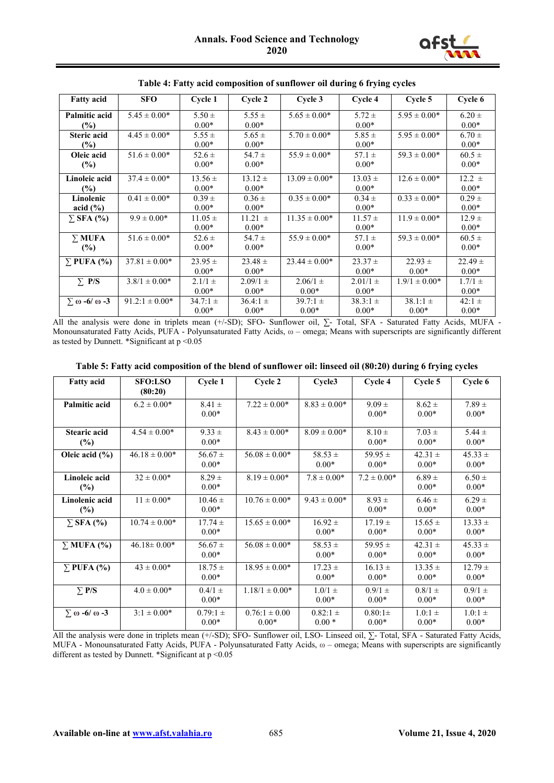

| <b>Fatty acid</b>          | <b>SFO</b>         | Cycle 1      | Cycle 2      | Cycle 3           | Cycle 4      | Cycle 5           | Cycle 6     |
|----------------------------|--------------------|--------------|--------------|-------------------|--------------|-------------------|-------------|
| <b>Palmitic acid</b>       | $5.45 \pm 0.00*$   | $5.50 \pm$   | $5.55 \pm$   | $5.65 \pm 0.00*$  | $5.72 \pm$   | $5.95 \pm 0.00*$  | $6.20 \pm$  |
| (%)                        |                    | $0.00*$      | $0.00*$      |                   | $0.00*$      |                   | $0.00*$     |
| <b>Steric acid</b>         | $4.45 \pm 0.00*$   | $5.55 \pm$   | $5.65 \pm$   | $5.70 \pm 0.00*$  | $5.85 \pm$   | $5.95 \pm 0.00*$  | $6.70 \pm$  |
| $(\%)$                     |                    | $0.00*$      | $0.00*$      |                   | $0.00*$      |                   | $0.00*$     |
| Oleic acid                 | $51.6 \pm 0.00*$   | $52.6 \pm$   | 54.7 $\pm$   | $55.9 \pm 0.00*$  | $57.1 \pm$   | $59.3 \pm 0.00*$  | $60.5 \pm$  |
| (%)                        |                    | $0.00*$      | $0.00*$      |                   | $0.00*$      |                   | $0.00*$     |
| Linoleic acid              | $37.4 \pm 0.00*$   | $13.56 \pm$  | $13.12 \pm$  | $13.09 \pm 0.00*$ | $13.03 \pm$  | $12.6 \pm 0.00*$  | $12.2 \pm$  |
| $\frac{9}{6}$              |                    | $0.00*$      | $0.00*$      |                   | $0.00*$      |                   | $0.00*$     |
| Linolenic                  | $0.41 \pm 0.00*$   | $0.39 \pm$   | $0.36 \pm$   | $0.35 \pm 0.00*$  | $0.34 \pm$   | $0.33 \pm 0.00*$  | $0.29 +$    |
| acid $(\% )$               |                    | $0.00*$      | $0.00*$      |                   | $0.00*$      |                   | $0.00*$     |
| $\Sigma$ SFA (%)           | $9.9 \pm 0.00*$    | $11.05 \pm$  | $11.21 \pm$  | $11.35 \pm 0.00*$ | $11.57 \pm$  | $11.9 \pm 0.00*$  | $12.9 \pm$  |
|                            |                    | $0.00*$      | $0.00*$      |                   | $0.00*$      |                   | $0.00*$     |
| $\Sigma$ MUFA              | $51.6 \pm 0.00*$   | $52.6 \pm$   | $54.7 \pm$   | $55.9 \pm 0.00*$  | $57.1 \pm$   | $59.3 \pm 0.00*$  | $60.5 \pm$  |
| (%)                        |                    | $0.00*$      | $0.00*$      |                   | $0.00*$      |                   | $0.00*$     |
| $\Sigma$ PUFA (%)          | $37.81 \pm 0.00*$  | $23.95 \pm$  | $23.48 \pm$  | $23.44 \pm 0.00*$ | $23.37 \pm$  | $22.93 \pm$       | $22.49 \pm$ |
|                            |                    | $0.00*$      | $0.00*$      |                   | $0.00*$      | $0.00*$           | $0.00*$     |
| $\Sigma$ P/S               | $3.8/1 \pm 0.00*$  | $2.1/1 \pm$  | $2.09/1 \pm$ | $2.06/1 \pm$      | $2.01/1 \pm$ | $1.9/1 \pm 0.00*$ | $1.7/1 \pm$ |
|                            |                    | $0.00*$      | $0.00*$      | $0.00*$           | $0.00*$      |                   | $0.00*$     |
| $\sum \omega -6/\omega -3$ | $91.2:1 \pm 0.00*$ | $34.7:1 \pm$ | $36.4:1 \pm$ | $39.7:1 \pm$      | $38.3:1 \pm$ | $38.1:1 \pm$      | $42:1 \pm$  |
|                            |                    | $0.00*$      | $0.00*$      | $0.00*$           | $0.00*$      | $0.00*$           | $0.00*$     |

**Table 4: Fatty acid composition of sunflower oil during 6 frying cycles**

All the analysis were done in triplets mean (+/-SD); SFO- Sunflower oil, ∑- Total, SFA - Saturated Fatty Acids, MUFA - Monounsaturated Fatty Acids, PUFA - Polyunsaturated Fatty Acids, ω – omega; Means with superscripts are significantly different as tested by Dunnett. \*Significant at  $p \le 0.05$ 

|  |  |  | Table 5: Fatty acid composition of the blend of sunflower oil: linseed oil (80:20) during 6 frying cycles |
|--|--|--|-----------------------------------------------------------------------------------------------------------|
|  |  |  |                                                                                                           |

| <b>Fatty acid</b>                       | <b>SFO:LSO</b><br>(80:20) | Cycle 1                 | Cycle 2                      | Cycle3                  | Cycle 4                | Cycle 5                | Cycle 6                  |
|-----------------------------------------|---------------------------|-------------------------|------------------------------|-------------------------|------------------------|------------------------|--------------------------|
| <b>Palmitic acid</b>                    | $6.2 \pm 0.00*$           | $8.41 \pm$<br>$0.00*$   | $7.22 \pm 0.00*$             | $8.83 \pm 0.00*$        | $9.09 \pm$<br>$0.00*$  | $8.62 \pm$<br>$0.00*$  | $7.89 \pm$<br>$0.00*$    |
| <b>Stearic acid</b><br>$(\%)$           | $4.54 \pm 0.00*$          | $9.33 \pm$<br>$0.00*$   | $8.43 \pm 0.00*$             | $8.09 \pm 0.00*$        | $8.10 \pm$<br>$0.00*$  | $7.03 \pm$<br>$0.00*$  | $5.44 \pm$<br>$0.00*$    |
| Oleic acid $(\% )$                      | $46.18 \pm 0.00*$         | $56.67 \pm$<br>$0.00*$  | $56.08 \pm 0.00*$            | $58.53 \pm$<br>$0.00*$  | 59.95 $\pm$<br>$0.00*$ | $42.31 \pm$<br>$0.00*$ | $45.33 \pm$<br>$0.00*$   |
| Linoleic acid<br>$(\%)$                 | $32 \pm 0.00*$            | $8.29 \pm$<br>$0.00*$   | $8.19 \pm 0.00*$             | $7.8 \pm 0.00*$         | $7.2 \pm 0.00*$        | $6.89 \pm$<br>$0.00*$  | $6.50 \pm$<br>$0.00*$    |
| Linolenic acid<br>$(\%)$                | $11 \pm 0.00*$            | $10.46 \pm$<br>$0.00*$  | $10.76 \pm 0.00*$            | $9.43 \pm 0.00*$        | $8.93 \pm$<br>$0.00*$  | $6.46 \pm$<br>$0.00*$  | $6.29 \pm$<br>$0.00*$    |
| $\Sigma$ SFA $\left(\frac{9}{6}\right)$ | $10.74 \pm 0.00*$         | $17.74 \pm$<br>$0.00*$  | $15.65 \pm 0.00*$            | $16.92 \pm$<br>$0.00*$  | $17.19 \pm$<br>$0.00*$ | $15.65 \pm$<br>$0.00*$ | $13.33 \pm$<br>$0.00*$   |
| $\Sigma$ MUFA (%)                       | $46.18 \pm 0.00*$         | $56.67 \pm$<br>$0.00*$  | $56.08 \pm 0.00*$            | $58.53 \pm$<br>$0.00*$  | 59.95 $\pm$<br>$0.00*$ | $42.31 \pm$<br>$0.00*$ | $45.33 \pm$<br>$0.00*$   |
| $\Sigma$ PUFA $(\% )$                   | $43 \pm 0.00*$            | $18.75 \pm$<br>$0.00*$  | $18.95 \pm 0.00*$            | $17.23 \pm$<br>$0.00*$  | $16.13 \pm$<br>$0.00*$ | $13.35 \pm$<br>$0.00*$ | $12.79 \pm$<br>$0.00*$   |
| $\Sigma$ P/S                            | $4.0 \pm 0.00*$           | $0.4/1 \pm$<br>$0.00*$  | $1.18/1 \pm 0.00*$           | $1.0/1 \pm$<br>$0.00*$  | $0.9/1 \pm$<br>$0.00*$ | $0.8/1 \pm$<br>$0.00*$ | $0.9/1$ $\pm$<br>$0.00*$ |
| $\Sigma \omega - 6/\omega - 3$          | $3:1 \pm 0.00*$           | $0.79:1 \pm$<br>$0.00*$ | $0.76:1 \pm 0.00$<br>$0.00*$ | $0.82:1 \pm$<br>$0.00*$ | $0.80:1\pm$<br>$0.00*$ | $1.0:1 \pm$<br>$0.00*$ | $1.0:1 \pm$<br>$0.00*$   |

All the analysis were done in triplets mean (+/-SD); SFO- Sunflower oil, LSO- Linseed oil, ∑- Total, SFA - Saturated Fatty Acids, MUFA - Monounsaturated Fatty Acids, PUFA - Polyunsaturated Fatty Acids, ω – omega; Means with superscripts are significantly different as tested by Dunnett. \*Significant at p <0.05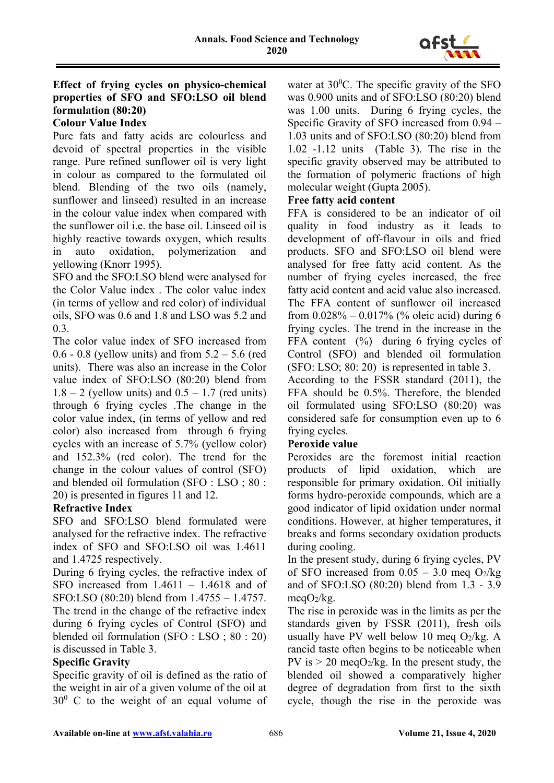

# **Effect of frying cycles on physico-chemical properties of SFO and SFO:LSO oil blend formulation (80:20)**

# **Colour Value Index**

Pure fats and fatty acids are colourless and devoid of spectral properties in the visible range. Pure refined sunflower oil is very light in colour as compared to the formulated oil blend. Blending of the two oils (namely, sunflower and linseed) resulted in an increase in the colour value index when compared with the sunflower oil i.e. the base oil. Linseed oil is highly reactive towards oxygen, which results in auto oxidation, polymerization and yellowing (Knorr 1995).

SFO and the SFO:LSO blend were analysed for the Color Value index . The color value index (in terms of yellow and red color) of individual oils, SFO was 0.6 and 1.8 and LSO was 5.2 and 0.3.

The color value index of SFO increased from 0.6 - 0.8 (yellow units) and from  $5.2 - 5.6$  (red units). There was also an increase in the Color value index of SFO:LSO (80:20) blend from  $1.8 - 2$  (yellow units) and  $0.5 - 1.7$  (red units) through 6 frying cycles .The change in the color value index, (in terms of yellow and red color) also increased from through 6 frying cycles with an increase of 5.7% (yellow color) and 152.3% (red color). The trend for the change in the colour values of control (SFO) and blended oil formulation (SFO : LSO ; 80 : 20) is presented in figures 11 and 12.

### **Refractive Index**

SFO and SFO:LSO blend formulated were analysed for the refractive index. The refractive index of SFO and SFO:LSO oil was 1.4611 and 1.4725 respectively.

During 6 frying cycles, the refractive index of SFO increased from 1.4611 – 1.4618 and of SFO:LSO (80:20) blend from 1.4755 – 1.4757. The trend in the change of the refractive index during 6 frying cycles of Control (SFO) and blended oil formulation (SFO : LSO ; 80 : 20) is discussed in Table 3.

### **Specific Gravity**

Specific gravity of oil is defined as the ratio of the weight in air of a given volume of the oil at  $30^0$  C to the weight of an equal volume of

water at  $30^0$ C. The specific gravity of the SFO was 0.900 units and of SFO:LSO (80:20) blend was 1.00 units. During 6 frying cycles, the Specific Gravity of SFO increased from 0.94 – 1.03 units and of SFO:LSO (80:20) blend from 1.02 -1.12 units (Table 3). The rise in the specific gravity observed may be attributed to the formation of polymeric fractions of high molecular weight (Gupta 2005).

### **Free fatty acid content**

FFA is considered to be an indicator of oil quality in food industry as it leads to development of off-flavour in oils and fried products. SFO and SFO:LSO oil blend were analysed for free fatty acid content. As the number of frying cycles increased, the free fatty acid content and acid value also increased. The FFA content of sunflower oil increased from  $0.028\% - 0.017\%$  (% oleic acid) during 6 frying cycles. The trend in the increase in the FFA content  $(%)$  during 6 frying cycles of Control (SFO) and blended oil formulation (SFO: LSO; 80: 20) is represented in table 3.

According to the FSSR standard (2011), the FFA should be 0.5%. Therefore, the blended oil formulated using SFO:LSO (80:20) was considered safe for consumption even up to 6 frying cycles.

### **Peroxide value**

Peroxides are the foremost initial reaction products of lipid oxidation, which are responsible for primary oxidation. Oil initially forms hydro-peroxide compounds, which are a good indicator of lipid oxidation under normal conditions. However, at higher temperatures, it breaks and forms secondary oxidation products during cooling.

In the present study, during 6 frying cycles, PV of SFO increased from  $0.05 - 3.0$  meg O<sub>2</sub>/kg and of SFO:LSO (80:20) blend from 1.3 - 3.9 meg $O_2$ /kg.

The rise in peroxide was in the limits as per the standards given by FSSR (2011), fresh oils usually have PV well below 10 meg  $O_2/kg$ . A rancid taste often begins to be noticeable when PV is  $> 20$  megO<sub>2</sub>/kg. In the present study, the blended oil showed a comparatively higher degree of degradation from first to the sixth cycle, though the rise in the peroxide was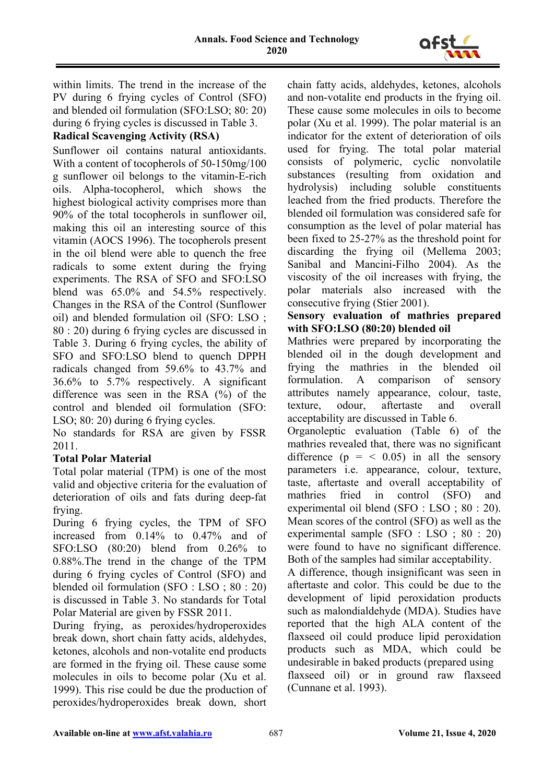

within limits. The trend in the increase of the PV during 6 frying cycles of Control (SFO) and blended oil formulation (SFO:LSO; 80: 20) during 6 frying cycles is discussed in Table 3.

# **Radical Scavenging Activity (RSA)**

Sunflower oil contains natural antioxidants. With a content of tocopherols of 50-150mg/100 g sunflower oil belongs to the vitamin-E-rich oils. Alpha-tocopherol, which shows the highest biological activity comprises more than 90% of the total tocopherols in sunflower oil, making this oil an interesting source of this vitamin (AOCS 1996). The tocopherols present in the oil blend were able to quench the free radicals to some extent during the frying experiments. The RSA of SFO and SFO:LSO blend was 65.0% and 54.5% respectively. Changes in the RSA of the Control (Sunflower oil) and blended formulation oil (SFO: LSO ; 80 : 20) during 6 frying cycles are discussed in Table 3. During 6 frying cycles, the ability of SFO and SFO:LSO blend to quench DPPH radicals changed from 59.6% to 43.7% and 36.6% to 5.7% respectively. A significant difference was seen in the RSA (%) of the control and blended oil formulation (SFO: LSO; 80: 20) during 6 frying cycles.

No standards for RSA are given by FSSR 2011.

# **Total Polar Material**

Total polar material (TPM) is one of the most valid and objective criteria for the evaluation of deterioration of oils and fats during deep-fat frying.

During 6 frying cycles, the TPM of SFO increased from 0.14% to 0.47% and of SFO:LSO (80:20) blend from 0.26% to 0.88%.The trend in the change of the TPM during 6 frying cycles of Control (SFO) and blended oil formulation (SFO : LSO ; 80 : 20) is discussed in Table 3. No standards for Total Polar Material are given by FSSR 2011.

During frying, as peroxides/hydroperoxides break down, short chain fatty acids, aldehydes, ketones, alcohols and non-votalite end products are formed in the frying oil. These cause some molecules in oils to become polar (Xu et al. 1999). This rise could be due the production of peroxides/hydroperoxides break down, short

chain fatty acids, aldehydes, ketones, alcohols and non-votalite end products in the frying oil. These cause some molecules in oils to become polar (Xu et al. 1999). The polar material is an indicator for the extent of deterioration of oils used for frying. The total polar material consists of polymeric, cyclic nonvolatile substances (resulting from oxidation and hydrolysis) including soluble constituents leached from the fried products. Therefore the blended oil formulation was considered safe for consumption as the level of polar material has been fixed to 25-27% as the threshold point for discarding the frying oil (Mellema 2003; Sanibal and Mancini-Filho 2004). As the viscosity of the oil increases with frying, the polar materials also increased with the consecutive frying (Stier 2001).

# **Sensory evaluation of mathries prepared with SFO:LSO (80:20) blended oil**

Mathries were prepared by incorporating the blended oil in the dough development and frying the mathries in the blended oil formulation. A comparison of sensory attributes namely appearance, colour, taste, texture, odour, aftertaste and overall acceptability are discussed in Table 6.

Organoleptic evaluation (Table 6) of the mathries revealed that, there was no significant difference  $(p = < 0.05)$  in all the sensory parameters i.e. appearance, colour, texture, taste, aftertaste and overall acceptability of mathries fried in control (SFO) and experimental oil blend (SFO : LSO ; 80 : 20). Mean scores of the control (SFO) as well as the experimental sample (SFO : LSO ; 80 : 20) were found to have no significant difference. Both of the samples had similar acceptability.

A difference, though insignificant was seen in aftertaste and color. This could be due to the development of lipid peroxidation products such as malondialdehyde (MDA). Studies have reported that the high ALA content of the flaxseed oil could produce lipid peroxidation products such as MDA, which could be undesirable in baked products (prepared using flaxseed oil) or in ground raw flaxseed (Cunnane et al. 1993).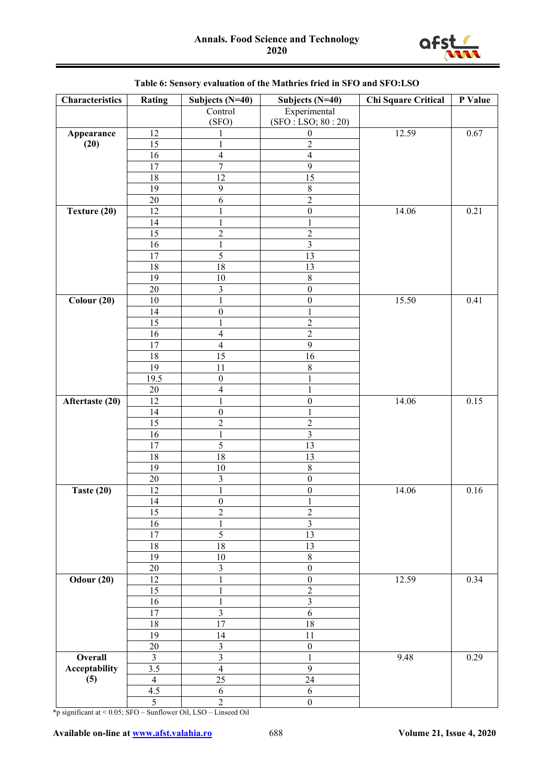

| Characteristics   | Rating         | Subjects (N=40)         | Subjects (N=40)         | Chi Square Critical | P Value  |
|-------------------|----------------|-------------------------|-------------------------|---------------------|----------|
|                   |                | Control                 | Experimental            |                     |          |
|                   |                | (SFO)                   | (SFO : LSO; 80 : 20)    |                     |          |
| Appearance        | 12             | 1                       | $\boldsymbol{0}$        | 12.59               | 0.67     |
| (20)              | 15             | $\,1$                   | $\overline{c}$          |                     |          |
|                   | 16             | $\overline{\mathbf{4}}$ | $\overline{\mathbf{4}}$ |                     |          |
|                   | 17             | $\overline{7}$          | 9                       |                     |          |
|                   | 18             | 12                      | 15                      |                     |          |
|                   | 19             | 9                       | $8\,$                   |                     |          |
|                   | $20\,$         | $\sqrt{6}$              | $\overline{2}$          |                     |          |
| Texture (20)      | 12             | $\,1$                   | $\boldsymbol{0}$        | 14.06               | 0.21     |
|                   | 14             | $\,1$                   | $\mathbf{1}$            |                     |          |
|                   | 15             | $\overline{c}$          | $\overline{c}$          |                     |          |
|                   | 16             | $\,1$                   | $\overline{\mathbf{3}}$ |                     |          |
|                   | $17\,$         | $\overline{5}$          | 13                      |                     |          |
|                   | 18             | $18\,$                  | 13                      |                     |          |
|                   | 19             | $10\,$                  | $8\,$                   |                     |          |
|                   | $20\,$         | 3                       | $\boldsymbol{0}$        |                     |          |
| Colour(20)        | $10\,$         | $\,1$                   | $\boldsymbol{0}$        | 15.50               | 0.41     |
|                   | 14             | $\boldsymbol{0}$        | $\mathbf{1}$            |                     |          |
|                   | 15             | $\,1$                   | $\overline{c}$          |                     |          |
|                   | 16             | $\overline{\mathbf{4}}$ | $\overline{2}$          |                     |          |
|                   | 17             | $\overline{4}$          | $\overline{9}$          |                     |          |
|                   | $18\,$         | $\overline{15}$         | 16                      |                     |          |
|                   | 19             | 11                      | 8                       |                     |          |
|                   | 19.5           | $\boldsymbol{0}$        | 1                       |                     |          |
|                   | $20\,$         | $\overline{4}$          | $\mathbf{1}$            |                     |          |
| Aftertaste (20)   | 12             | $\mathbf{1}$            | $\boldsymbol{0}$        | 14.06               | 0.15     |
|                   | 14             | $\boldsymbol{0}$        | $\mathbf{1}$            |                     |          |
|                   | 15             | $\sqrt{2}$              | $\overline{c}$          |                     |          |
|                   | 16             | $\,1$                   | 3                       |                     |          |
|                   | 17             | 5                       | 13                      |                     |          |
|                   | $18\,$         | $18\,$                  | 13                      |                     |          |
|                   | 19             | $10\,$                  | $8\,$                   |                     |          |
|                   | $20\,$         | 3                       | $\boldsymbol{0}$        |                     |          |
| Taste (20)        | 12             | $\,1$                   | $\boldsymbol{0}$        | 14.06               | $0.16\,$ |
|                   | 14             | $\boldsymbol{0}$        | $\mathbf{1}$            |                     |          |
|                   | 15             | 2                       | $\overline{\mathbf{c}}$ |                     |          |
|                   | 16             | $\mathbf{1}$            | 3                       |                     |          |
|                   | $17$           | 5                       | $\overline{13}$         |                     |          |
|                   | $18\,$         | 18                      | 13                      |                     |          |
|                   | 19             | $10\,$                  | $8\,$                   |                     |          |
|                   | $20\,$         | $\mathfrak{Z}$          | $\boldsymbol{0}$        |                     |          |
| <b>Odour (20)</b> | 12             | $\mathbf{1}$            | $\boldsymbol{0}$        | 12.59               | 0.34     |
|                   | 15             | $\mathbf{1}$            | $\overline{c}$          |                     |          |
|                   | 16             | $\mathbf{1}$            | 3                       |                     |          |
|                   | $17$           | 3                       | $\sqrt{6}$              |                     |          |
|                   | $18\,$         | $\overline{17}$         | $18\,$                  |                     |          |
|                   | 19             | 14                      | 11                      |                     |          |
|                   | $20\,$         | $\mathfrak{Z}$          | $\boldsymbol{0}$        |                     |          |
| <b>Overall</b>    | $\mathfrak{Z}$ | 3                       | $\mathbf{1}$            | 9.48                | 0.29     |
| Acceptability     | 3.5            | $\overline{4}$          | 9                       |                     |          |
| (5)               | $\overline{4}$ | $\overline{25}$         | 24                      |                     |          |
|                   | 4.5            | 6                       | 6                       |                     |          |
|                   | $\overline{5}$ | $\overline{2}$          | $\boldsymbol{0}$        |                     |          |

# **Table 6: Sensory evaluation of the Mathries fried in SFO and SFO:LSO**

\*p significant at < 0.05; SFO – Sunflower Oil, LSO – Linseed Oil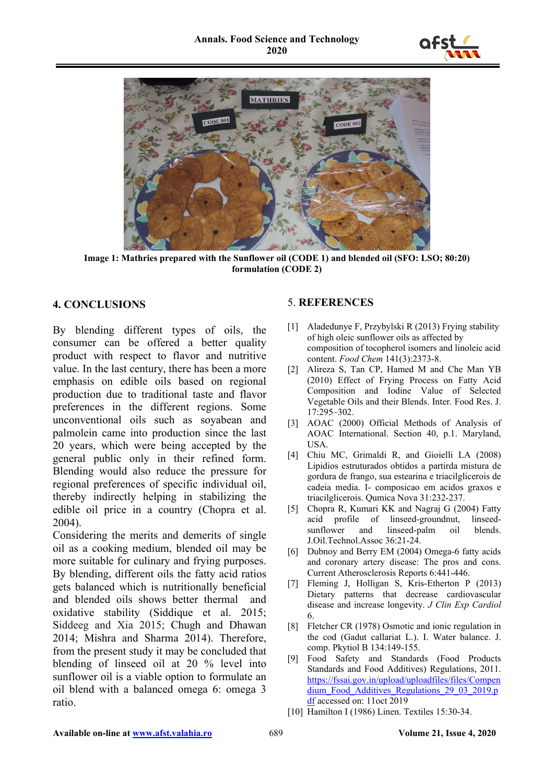



**Image 1: Mathries prepared with the Sunflower oil (CODE 1) and blended oil (SFO: LSO; 80:20) formulation (CODE 2)**

# **4. CONCLUSIONS**

By blending different types of oils, the consumer can be offered a better quality product with respect to flavor and nutritive value. In the last century, there has been a more emphasis on edible oils based on regional production due to traditional taste and flavor preferences in the different regions. Some unconventional oils such as soyabean and palmolein came into production since the last 20 years, which were being accepted by the general public only in their refined form. Blending would also reduce the pressure for regional preferences of specific individual oil, thereby indirectly helping in stabilizing the edible oil price in a country (Chopra et al. 2004).

Considering the merits and demerits of single oil as a cooking medium, blended oil may be more suitable for culinary and frying purposes. By blending, different oils the fatty acid ratios gets balanced which is nutritionally beneficial and blended oils shows better thermal and oxidative stability (Siddique et al. 2015; Siddeeg and Xia 2015; Chugh and Dhawan 2014; Mishra and Sharma 2014). Therefore, from the present study it may be concluded that blending of linseed oil at 20 % level into sunflower oil is a viable option to formulate an oil blend with a balanced omega 6: omega 3 ratio.

### 5. **REFERENCES**

- [1] Aladedunye F, Przybylski R (2013) Frying stability of high oleic sunflower oils as affected by composition of tocopherol isomers and linoleic acid content. *Food Chem* 141(3):2373-8.
- [2] Alireza S, Tan CP, Hamed M and Che Man YB (2010) Effect of Frying Process on Fatty Acid Composition and Iodine Value of Selected Vegetable Oils and their Blends. Inter. Food Res. J. 17:295–302.
- [3] AOAC (2000) Official Methods of Analysis of AOAC International. Section 40, p.1. Maryland, USA.
- [4] Chiu MC, Grimaldi R, and Gioielli LA (2008) Lipidios estruturados obtidos a partirda mistura de gordura de frango, sua estearina e triacilglicerois de cadeia media. I- composicao em acidos graxos e triacilglicerois. Qumica Nova 31:232-237.
- [5] Chopra R, Kumari KK and Nagraj G (2004) Fatty acid profile of linseed-groundnut, linseedsunflower and linseed-palm oil blends. J.Oil.Technol.Assoc 36:21-24.
- [6] Dubnoy and Berry EM (2004) Omega-6 fatty acids and coronary artery disease: The pros and cons. Current Atherosclerosis Reports 6:441-446.
- [7] Fleming J, Holligan S, Kris-Etherton P (2013) Dietary patterns that decrease cardiovascular disease and increase longevity. *J Clin Exp Cardiol*  6.
- [8] Fletcher CR (1978) Osmotic and ionic regulation in the cod (Gadut callariat L.). I. Water balance. J. comp. Pkytiol B 134:149-155.
- [9] Food Safety and Standards (Food Products Standards and Food Additives) Regulations, 2011. [https://fssai.gov.in/upload/uploadfiles/files/Compen](https://fssai.gov.in/upload/uploadfiles/files/Compendium_Food_Additives_Regulations_29_03_2019.pdf) [dium\\_Food\\_Additives\\_Regulations\\_29\\_03\\_2019.p](https://fssai.gov.in/upload/uploadfiles/files/Compendium_Food_Additives_Regulations_29_03_2019.pdf) [df](https://fssai.gov.in/upload/uploadfiles/files/Compendium_Food_Additives_Regulations_29_03_2019.pdf) accessed on: 11oct 2019
- [10] Hamilton I (1986) Linen. Textiles 15:30-34.